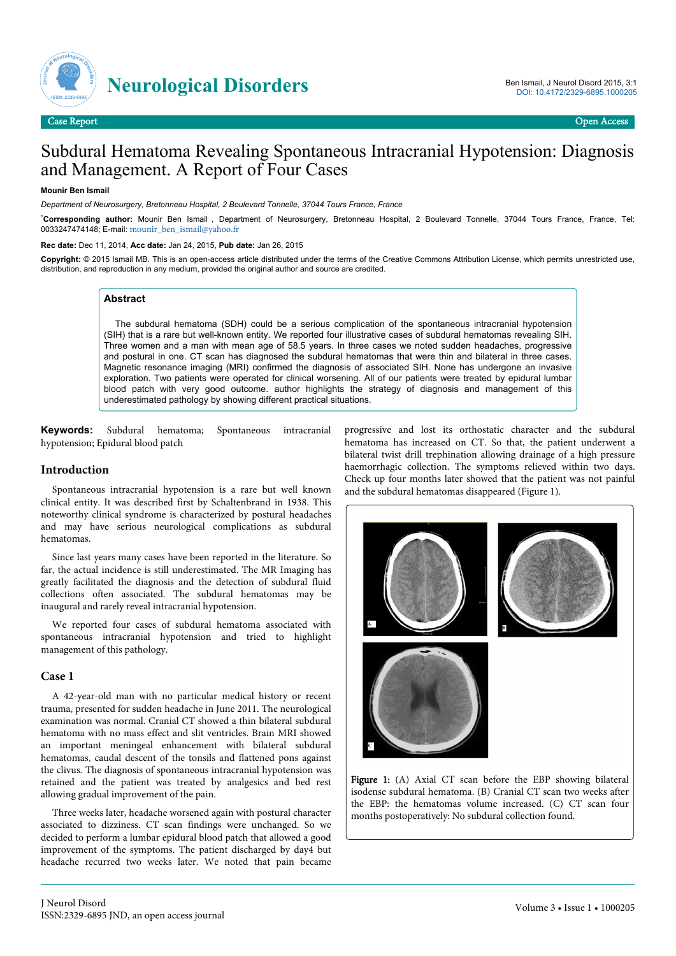

# Subdural Hematoma Revealing Spontaneous Intracranial Hypotension: Diagnosis and Management. A Report of Four Cases

#### **Mounir Ben Ismail**

*Department of Neurosurgery, Bretonneau Hospital, 2 Boulevard Tonnelle, 37044 Tours France, France*

\***Corresponding author:** Mounir Ben Ismail , Department of Neurosurgery, Bretonneau Hospital, 2 Boulevard Tonnelle, 37044 Tours France, France, Tel: 0033247474148; E-mail: [mounir\\_ben\\_ismail@yahoo.fr](mailto:mounir_ben_ismail@yahoo.fr)

**Rec date:** Dec 11, 2014, **Acc date:** Jan 24, 2015, **Pub date:** Jan 26, 2015

**Copyright:** © 2015 Ismail MB. This is an open-access article distributed under the terms of the Creative Commons Attribution License, which permits unrestricted use, distribution, and reproduction in any medium, provided the original author and source are credited.

### **Abstract**

The subdural hematoma (SDH) could be a serious complication of the spontaneous intracranial hypotension (SIH) that is a rare but well-known entity. We reported four illustrative cases of subdural hematomas revealing SIH. Three women and a man with mean age of 58.5 years. In three cases we noted sudden headaches, progressive and postural in one. CT scan has diagnosed the subdural hematomas that were thin and bilateral in three cases. Magnetic resonance imaging (MRI) confirmed the diagnosis of associated SIH. None has undergone an invasive exploration. Two patients were operated for clinical worsening. All of our patients were treated by epidural lumbar blood patch with very good outcome. author highlights the strategy of diagnosis and management of this underestimated pathology by showing different practical situations.

**Keywords:** Subdural hematoma; Spontaneous intracranial hypotension; Epidural blood patch

## **Introduction**

Spontaneous intracranial hypotension is a rare but well known clinical entity. It was described first by Schaltenbrand in 1938. This noteworthy clinical syndrome is characterized by postural headaches and may have serious neurological complications as subdural hematomas.

Since last years many cases have been reported in the literature. So far, the actual incidence is still underestimated. The MR Imaging has greatly facilitated the diagnosis and the detection of subdural fluid collections often associated. The subdural hematomas may be inaugural and rarely reveal intracranial hypotension.

We reported four cases of subdural hematoma associated with spontaneous intracranial hypotension and tried to highlight management of this pathology.

## **Case 1**

A 42-year-old man with no particular medical history or recent trauma, presented for sudden headache in June 2011. The neurological examination was normal. Cranial CT showed a thin bilateral subdural hematoma with no mass effect and slit ventricles. Brain MRI showed an important meningeal enhancement with bilateral subdural hematomas, caudal descent of the tonsils and flattened pons against the clivus. The diagnosis of spontaneous intracranial hypotension was retained and the patient was treated by analgesics and bed rest allowing gradual improvement of the pain.

Three weeks later, headache worsened again with postural character associated to dizziness. CT scan findings were unchanged. So we decided to perform a lumbar epidural blood patch that allowed a good improvement of the symptoms. The patient discharged by day4 but headache recurred two weeks later. We noted that pain became progressive and lost its orthostatic character and the subdural hematoma has increased on CT. So that, the patient underwent a bilateral twist drill trephination allowing drainage of a high pressure haemorrhagic collection. The symptoms relieved within two days. Check up four months later showed that the patient was not painful and the subdural hematomas disappeared (Figure 1).



Figure 1: (A) Axial CT scan before the EBP showing bilateral isodense subdural hematoma. (B) Cranial CT scan two weeks after the EBP: the hematomas volume increased. (C) CT scan four months postoperatively: No subdural collection found.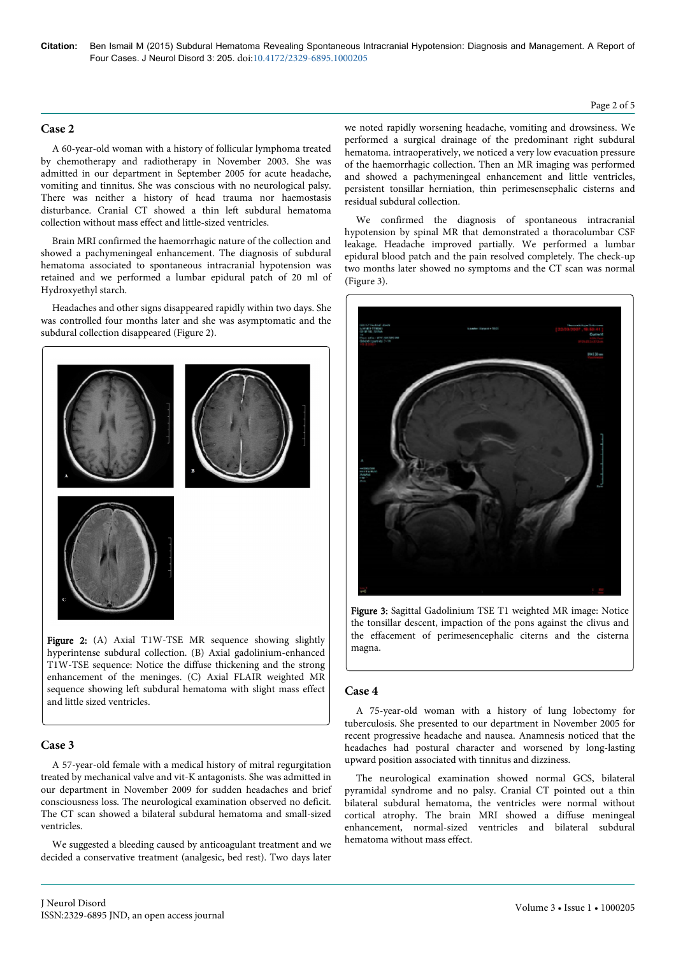## **Case 2**

A 60-year-old woman with a history of follicular lymphoma treated by chemotherapy and radiotherapy in November 2003. She was admitted in our department in September 2005 for acute headache, vomiting and tinnitus. She was conscious with no neurological palsy. There was neither a history of head trauma nor haemostasis disturbance. Cranial CT showed a thin left subdural hematoma collection without mass effect and little-sized ventricles.

Brain MRI confirmed the haemorrhagic nature of the collection and showed a pachymeningeal enhancement. The diagnosis of subdural hematoma associated to spontaneous intracranial hypotension was retained and we performed a lumbar epidural patch of 20 ml of Hydroxyethyl starch.

Headaches and other signs disappeared rapidly within two days. She was controlled four months later and she was asymptomatic and the subdural collection disappeared (Figure 2).



Figure 2: (A) Axial T1W-TSE MR sequence showing slightly hyperintense subdural collection. (B) Axial gadolinium-enhanced T1W-TSE sequence: Notice the diffuse thickening and the strong enhancement of the meninges. (C) Axial FLAIR weighted MR sequence showing left subdural hematoma with slight mass effect and little sized ventricles.

## **Case 3**

A 57-year-old female with a medical history of mitral regurgitation treated by mechanical valve and vit-K antagonists. She was admitted in our department in November 2009 for sudden headaches and brief consciousness loss. The neurological examination observed no deficit. The CT scan showed a bilateral subdural hematoma and small-sized ventricles.

We suggested a bleeding caused by anticoagulant treatment and we decided a conservative treatment (analgesic, bed rest). Two days later we noted rapidly worsening headache, vomiting and drowsiness. We performed a surgical drainage of the predominant right subdural hematoma. intraoperatively, we noticed a very low evacuation pressure of the haemorrhagic collection. Then an MR imaging was performed and showed a pachymeningeal enhancement and little ventricles, persistent tonsillar herniation, thin perimesensephalic cisterns and residual subdural collection.

We confirmed the diagnosis of spontaneous intracranial hypotension by spinal MR that demonstrated a thoracolumbar CSF leakage. Headache improved partially. We performed a lumbar epidural blood patch and the pain resolved completely. The check-up two months later showed no symptoms and the CT scan was normal (Figure 3).



Figure 3: Sagittal Gadolinium TSE T1 weighted MR image: Notice the tonsillar descent, impaction of the pons against the clivus and the effacement of perimesencephalic citerns and the cisterna magna.

### **Case 4**

A 75-year-old woman with a history of lung lobectomy for tuberculosis. She presented to our department in November 2005 for recent progressive headache and nausea. Anamnesis noticed that the headaches had postural character and worsened by long-lasting upward position associated with tinnitus and dizziness.

The neurological examination showed normal GCS, bilateral pyramidal syndrome and no palsy. Cranial CT pointed out a thin bilateral subdural hematoma, the ventricles were normal without cortical atrophy. The brain MRI showed a diffuse meningeal enhancement, normal-sized ventricles and bilateral subdural hematoma without mass effect.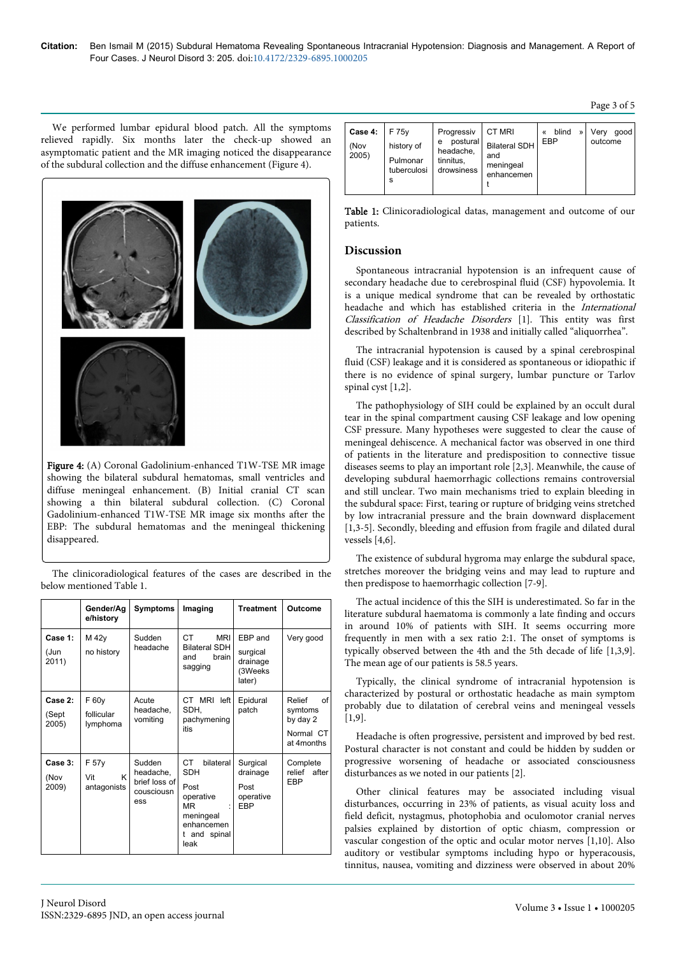Page 3 of 5

We performed lumbar epidural blood patch. All the symptoms relieved rapidly. Six months later the check-up showed an asymptomatic patient and the MR imaging noticed the disappearance of the subdural collection and the diffuse enhancement (Figure 4).



Figure 4: (A) Coronal Gadolinium-enhanced T1W-TSE MR image showing the bilateral subdural hematomas, small ventricles and diffuse meningeal enhancement. (B) Initial cranial CT scan showing a thin bilateral subdural collection. (C) Coronal Gadolinium-enhanced T1W-TSE MR image six months after the EBP: The subdural hematomas and the meningeal thickening disappeared.

The clinicoradiological features of the cases are described in the below mentioned Table 1.

|                           | Gender/Ag<br>e/history           | <b>Symptoms</b>                                           | Imaging                                                                                                             | <b>Treatment</b>                                     | Outcome                                                        |
|---------------------------|----------------------------------|-----------------------------------------------------------|---------------------------------------------------------------------------------------------------------------------|------------------------------------------------------|----------------------------------------------------------------|
| Case 1:<br>(Jun<br>2011)  | M 42y<br>no history              | Sudden<br>headache                                        | CT.<br><b>MRI</b><br><b>Bilateral SDH</b><br>brain<br>and<br>sagging                                                | EBP and<br>surgical<br>drainage<br>(3Weeks<br>later) | Very good                                                      |
| Case 2:<br>(Sept<br>2005) | F 60y<br>follicular<br>lymphoma  | Acute<br>headache,<br>vomiting                            | CT MRI left<br>SDH,<br>pachymening<br>itis                                                                          | Epidural<br>patch                                    | Relief<br>of<br>symtoms<br>by day 2<br>Normal CT<br>at 4months |
| Case 3:<br>(Nov<br>2009)  | F 57y<br>K<br>Vit<br>antagonists | Sudden<br>headache,<br>brief loss of<br>cousciousn<br>ess | CT.<br>bilateral<br><b>SDH</b><br>Post<br>operative<br><b>MR</b><br>meningeal<br>enhancemen<br>t and spinal<br>leak | Surgical<br>drainage<br>Post<br>operative<br>EBP     | Complete<br>relief<br>after<br>FBP                             |

| Case 4:<br>(Nov<br>2005) | F 75 <sub>v</sub><br>history of<br>Pulmonar<br>tuberculosi<br>s | Progressiv<br>postural<br>е<br>headache.<br>tinnitus,<br>drowsiness | CT MRI<br><b>Bilateral SDH</b><br>and<br>meningeal<br>enhancemen | blind<br>EBP | » | Verv<br>aood<br>outcome |
|--------------------------|-----------------------------------------------------------------|---------------------------------------------------------------------|------------------------------------------------------------------|--------------|---|-------------------------|
|--------------------------|-----------------------------------------------------------------|---------------------------------------------------------------------|------------------------------------------------------------------|--------------|---|-------------------------|

Table 1: Clinicoradiological datas, management and outcome of our patients.

## **Discussion**

Spontaneous intracranial hypotension is an infrequent cause of secondary headache due to cerebrospinal fluid (CSF) hypovolemia. It is a unique medical syndrome that can be revealed by orthostatic headache and which has established criteria in the International Classification of Headache Disorders [1]. This entity was first described by Schaltenbrand in 1938 and initially called "aliquorrhea".

The intracranial hypotension is caused by a spinal cerebrospinal fluid (CSF) leakage and it is considered as spontaneous or idiopathic if there is no evidence of spinal surgery, lumbar puncture or Tarlov spinal cyst [1,2].

The pathophysiology of SIH could be explained by an occult dural tear in the spinal compartment causing CSF leakage and low opening CSF pressure. Many hypotheses were suggested to clear the cause of meningeal dehiscence. A mechanical factor was observed in one third of patients in the literature and predisposition to connective tissue diseases seems to play an important role [2,3]. Meanwhile, the cause of developing subdural haemorrhagic collections remains controversial and still unclear. Two main mechanisms tried to explain bleeding in the subdural space: First, tearing or rupture of bridging veins stretched by low intracranial pressure and the brain downward displacement [1,3-5]. Secondly, bleeding and effusion from fragile and dilated dural vessels [4,6].

The existence of subdural hygroma may enlarge the subdural space, stretches moreover the bridging veins and may lead to rupture and then predispose to haemorrhagic collection [7-9].

The actual incidence of this the SIH is underestimated. So far in the literature subdural haematoma is commonly a late finding and occurs in around 10% of patients with SIH. It seems occurring more frequently in men with a sex ratio 2:1. The onset of symptoms is typically observed between the 4th and the 5th decade of life [1,3,9]. The mean age of our patients is 58.5 years.

Typically, the clinical syndrome of intracranial hypotension is characterized by postural or orthostatic headache as main symptom probably due to dilatation of cerebral veins and meningeal vessels  $[1, 9]$ .

Headache is often progressive, persistent and improved by bed rest. Postural character is not constant and could be hidden by sudden or progressive worsening of headache or associated consciousness disturbances as we noted in our patients [2].

Other clinical features may be associated including visual disturbances, occurring in 23% of patients, as visual acuity loss and field deficit, nystagmus, photophobia and oculomotor cranial nerves palsies explained by distortion of optic chiasm, compression or vascular congestion of the optic and ocular motor nerves [1,10]. Also auditory or vestibular symptoms including hypo or hyperacousis, tinnitus, nausea, vomiting and dizziness were observed in about 20%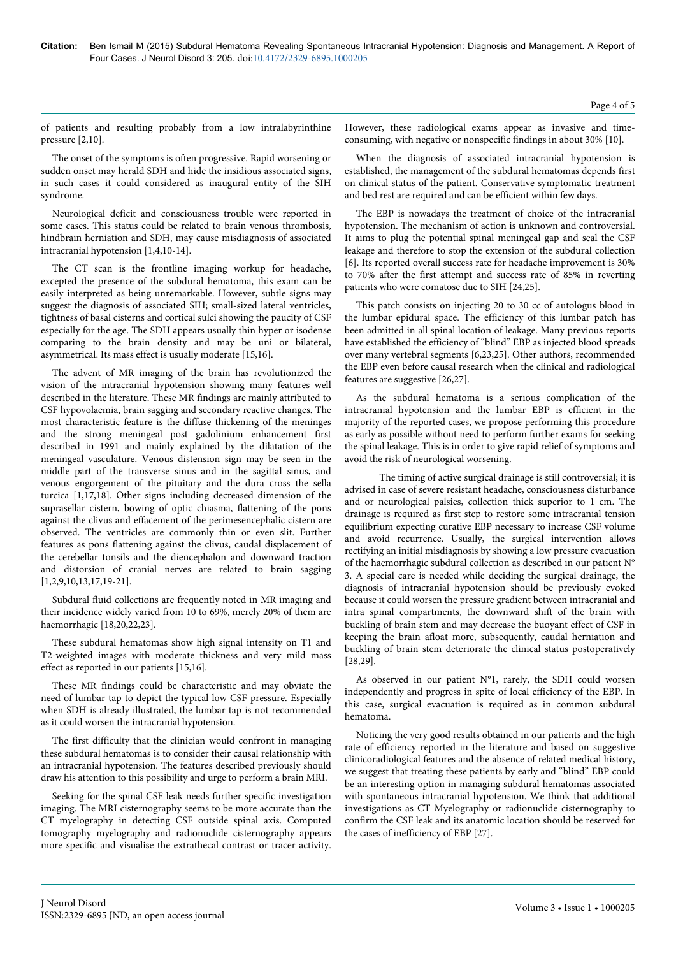of patients and resulting probably from a low intralabyrinthine pressure [2,10].

The onset of the symptoms is often progressive. Rapid worsening or sudden onset may herald SDH and hide the insidious associated signs, in such cases it could considered as inaugural entity of the SIH syndrome.

Neurological deficit and consciousness trouble were reported in some cases. This status could be related to brain venous thrombosis, hindbrain herniation and SDH, may cause misdiagnosis of associated intracranial hypotension [1,4,10-14].

The CT scan is the frontline imaging workup for headache, excepted the presence of the subdural hematoma, this exam can be easily interpreted as being unremarkable. However, subtle signs may suggest the diagnosis of associated SIH; small-sized lateral ventricles, tightness of basal cisterns and cortical sulci showing the paucity of CSF especially for the age. The SDH appears usually thin hyper or isodense comparing to the brain density and may be uni or bilateral, asymmetrical. Its mass effect is usually moderate [15,16].

The advent of MR imaging of the brain has revolutionized the vision of the intracranial hypotension showing many features well described in the literature. These MR findings are mainly attributed to CSF hypovolaemia, brain sagging and secondary reactive changes. The most characteristic feature is the diffuse thickening of the meninges and the strong meningeal post gadolinium enhancement first described in 1991 and mainly explained by the dilatation of the meningeal vasculature. Venous distension sign may be seen in the middle part of the transverse sinus and in the sagittal sinus, and venous engorgement of the pituitary and the dura cross the sella turcica [1,17,18]. Other signs including decreased dimension of the suprasellar cistern, bowing of optic chiasma, flattening of the pons against the clivus and effacement of the perimesencephalic cistern are observed. The ventricles are commonly thin or even slit. Further features as pons flattening against the clivus, caudal displacement of the cerebellar tonsils and the diencephalon and downward traction and distorsion of cranial nerves are related to brain sagging [1,2,9,10,13,17,19-21].

Subdural fluid collections are frequently noted in MR imaging and their incidence widely varied from 10 to 69%, merely 20% of them are haemorrhagic [18,20,22,23].

These subdural hematomas show high signal intensity on T1 and T2-weighted images with moderate thickness and very mild mass effect as reported in our patients [15,16].

These MR findings could be characteristic and may obviate the need of lumbar tap to depict the typical low CSF pressure. Especially when SDH is already illustrated, the lumbar tap is not recommended as it could worsen the intracranial hypotension.

The first difficulty that the clinician would confront in managing these subdural hematomas is to consider their causal relationship with an intracranial hypotension. The features described previously should draw his attention to this possibility and urge to perform a brain MRI.

Seeking for the spinal CSF leak needs further specific investigation imaging. The MRI cisternography seems to be more accurate than the CT myelography in detecting CSF outside spinal axis. Computed tomography myelography and radionuclide cisternography appears more specific and visualise the extrathecal contrast or tracer activity.

However, these radiological exams appear as invasive and timeconsuming, with negative or nonspecific findings in about 30% [10].

When the diagnosis of associated intracranial hypotension is established, the management of the subdural hematomas depends first on clinical status of the patient. Conservative symptomatic treatment and bed rest are required and can be efficient within few days.

The EBP is nowadays the treatment of choice of the intracranial hypotension. The mechanism of action is unknown and controversial. It aims to plug the potential spinal meningeal gap and seal the CSF leakage and therefore to stop the extension of the subdural collection [6]. Its reported overall success rate for headache improvement is 30% to 70% after the first attempt and success rate of 85% in reverting patients who were comatose due to SIH [24,25].

This patch consists on injecting 20 to 30 cc of autologus blood in the lumbar epidural space. The efficiency of this lumbar patch has been admitted in all spinal location of leakage. Many previous reports have established the efficiency of "blind" EBP as injected blood spreads over many vertebral segments [6,23,25]. Other authors, recommended the EBP even before causal research when the clinical and radiological features are suggestive [26,27].

As the subdural hematoma is a serious complication of the intracranial hypotension and the lumbar EBP is efficient in the majority of the reported cases, we propose performing this procedure as early as possible without need to perform further exams for seeking the spinal leakage. This is in order to give rapid relief of symptoms and avoid the risk of neurological worsening.

The timing of active surgical drainage is still controversial; it is advised in case of severe resistant headache, consciousness disturbance and or neurological palsies, collection thick superior to 1 cm. The drainage is required as first step to restore some intracranial tension equilibrium expecting curative EBP necessary to increase CSF volume and avoid recurrence. Usually, the surgical intervention allows rectifying an initial misdiagnosis by showing a low pressure evacuation of the haemorrhagic subdural collection as described in our patient N° 3. A special care is needed while deciding the surgical drainage, the diagnosis of intracranial hypotension should be previously evoked because it could worsen the pressure gradient between intracranial and intra spinal compartments, the downward shift of the brain with buckling of brain stem and may decrease the buoyant effect of CSF in keeping the brain afloat more, subsequently, caudal herniation and buckling of brain stem deteriorate the clinical status postoperatively [28,29].

As observed in our patient N°1, rarely, the SDH could worsen independently and progress in spite of local efficiency of the EBP. In this case, surgical evacuation is required as in common subdural hematoma.

Noticing the very good results obtained in our patients and the high rate of efficiency reported in the literature and based on suggestive clinicoradiological features and the absence of related medical history, we suggest that treating these patients by early and "blind" EBP could be an interesting option in managing subdural hematomas associated with spontaneous intracranial hypotension. We think that additional investigations as CT Myelography or radionuclide cisternography to confirm the CSF leak and its anatomic location should be reserved for the cases of inefficiency of EBP [27].